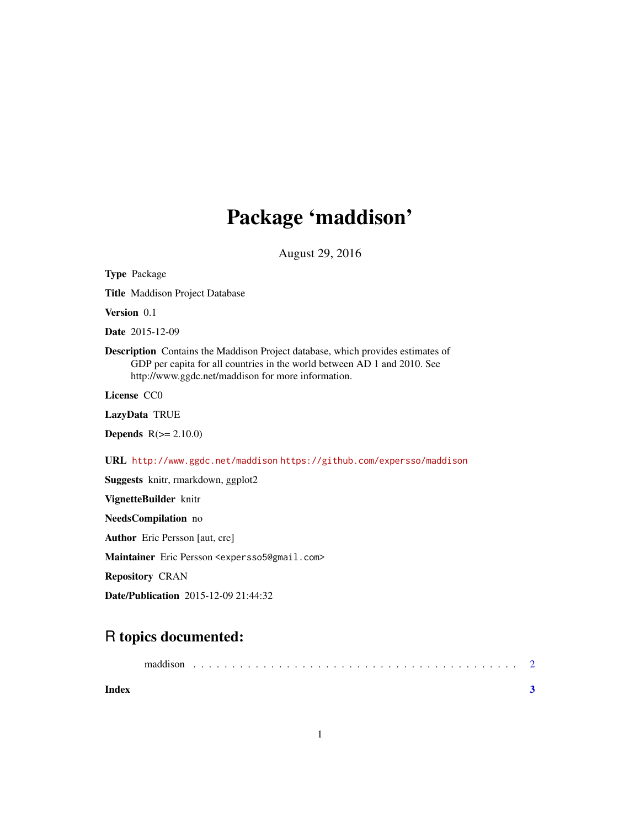## Package 'maddison'

August 29, 2016

| <b>Type Package</b>                                                                                                                                                                                                      |
|--------------------------------------------------------------------------------------------------------------------------------------------------------------------------------------------------------------------------|
| Title Maddison Project Database                                                                                                                                                                                          |
| Version 0.1                                                                                                                                                                                                              |
| <b>Date</b> 2015-12-09                                                                                                                                                                                                   |
| <b>Description</b> Contains the Maddison Project database, which provides estimates of<br>GDP per capita for all countries in the world between AD 1 and 2010. See<br>http://www.ggdc.net/maddison for more information. |
| License CCO                                                                                                                                                                                                              |
| LazyData TRUE                                                                                                                                                                                                            |
| <b>Depends</b> $R(>= 2.10.0)$                                                                                                                                                                                            |
| URL http://www.ggdc.net/maddison https://github.com/expersso/maddison                                                                                                                                                    |
| Suggests knitr, rmarkdown, ggplot2                                                                                                                                                                                       |
| VignetteBuilder knitr                                                                                                                                                                                                    |
| NeedsCompilation no                                                                                                                                                                                                      |
| <b>Author</b> Eric Persson [aut, cre]                                                                                                                                                                                    |
| Maintainer Eric Persson <expersso5@gmail.com></expersso5@gmail.com>                                                                                                                                                      |
| <b>Repository CRAN</b>                                                                                                                                                                                                   |
| <b>Date/Publication</b> 2015-12-09 21:44:32                                                                                                                                                                              |

### R topics documented:

|       | maddison |  |  |  |  |  |  |  |  |  |  |  |  |  |  |  |  |
|-------|----------|--|--|--|--|--|--|--|--|--|--|--|--|--|--|--|--|
| Index |          |  |  |  |  |  |  |  |  |  |  |  |  |  |  |  |  |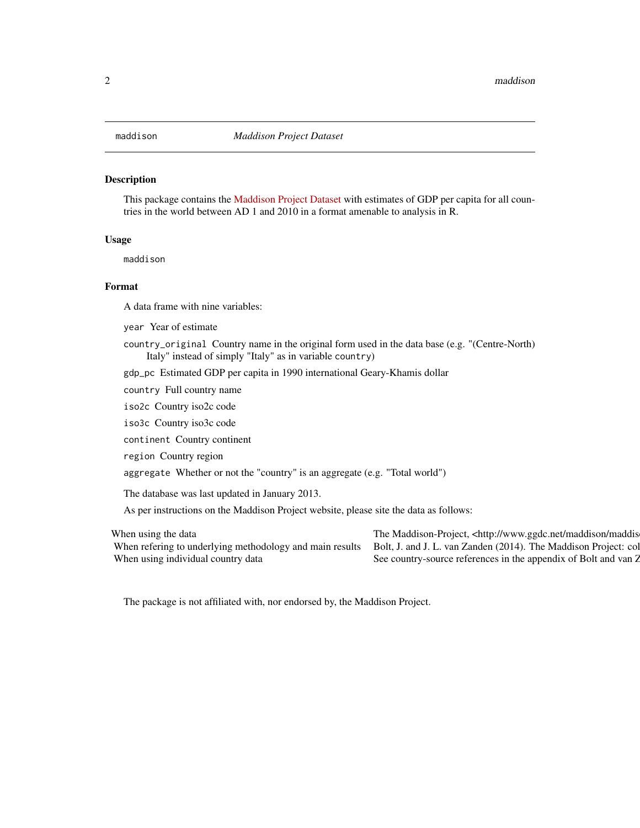#### <span id="page-1-0"></span>Description

This package contains the [Maddison Project Dataset](http://www.ggdc.net/maddison/maddison-project/data.htm) with estimates of GDP per capita for all countries in the world between AD 1 and 2010 in a format amenable to analysis in R.

### Usage

maddison

#### Format

A data frame with nine variables:

year Year of estimate

country\_original Country name in the original form used in the data base (e.g. "(Centre-North) Italy" instead of simply "Italy" as in variable country)

gdp\_pc Estimated GDP per capita in 1990 international Geary-Khamis dollar

country Full country name

iso2c Country iso2c code

iso3c Country iso3c code

continent Country continent

region Country region

aggregate Whether or not the "country" is an aggregate (e.g. "Total world")

The database was last updated in January 2013.

As per instructions on the Maddison Project website, please site the data as follows:

When using the data The Maddison-Project, <http://www.ggdc.net/maddison/maddison-When refering to underlying methodology and main results Bolt, J. and J. L. van Zanden (2014). The Maddison Project: col When using individual country data See country-source references in the appendix of Bolt and van Z

The package is not affiliated with, nor endorsed by, the Maddison Project.